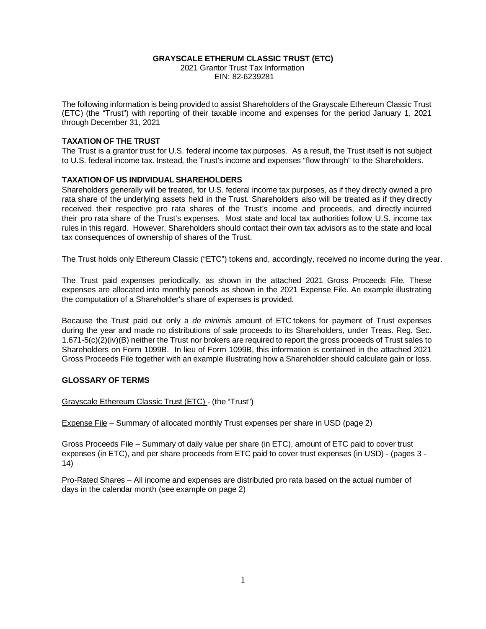#### **GRAYSCALE ETHERUM CLASSIC TRUST (ETC)**

 2021 Grantor Trust Tax Information EIN: 82-6239281

The following information is being provided to assist Shareholders of the Grayscale Ethereum Classic Trust (ETC) (the "Trust") with reporting of their taxable income and expenses for the period January 1, 2021 through December 31, 2021

#### **TAXATION OF THE TRUST**

The Trust is a grantor trust for U.S. federal income tax purposes. As a result, the Trust itself is not subject to U.S. federal income tax. Instead, the Trust's income and expenses "flow through" to the Shareholders.

#### **TAXATION OF US INDIVIDUAL SHAREHOLDERS**

Shareholders generally will be treated, for U.S. federal income tax purposes, as if they directly owned a pro rata share of the underlying assets held in the Trust. Shareholders also will be treated as if they directly received their respective pro rata shares of the Trust's income and proceeds, and directly incurred their pro rata share of the Trust's expenses. Most state and local tax authorities follow U.S. income tax rules in this regard. However, Shareholders should contact their own tax advisors as to the state and local tax consequences of ownership of shares of the Trust.

The Trust holds only Ethereum Classic ("ETC") tokens and, accordingly, received no income during the year.

The Trust paid expenses periodically, as shown in the attached 2021 Gross Proceeds File. These expenses are allocated into monthly periods as shown in the 2021 Expense File. An example illustrating the computation of a Shareholder's share of expenses is provided.

Because the Trust paid out only a *de minimis* amount of ETC tokens for payment of Trust expenses during the year and made no distributions of sale proceeds to its Shareholders, under Treas. Reg. Sec. 1.671-5(c)(2)(iv)(B) neither the Trust nor brokers are required to report the gross proceeds of Trust sales to Shareholders on Form 1099B. In lieu of Form 1099B, this information is contained in the attached 2021 Gross Proceeds File together with an example illustrating how a Shareholder should calculate gain or loss.

#### **GLOSSARY OF TERMS**

#### Grayscale Ethereum Classic Trust (ETC) - (the "Trust")

Expense File – Summary of allocated monthly Trust expenses per share in USD (page 2)

Gross Proceeds File – Summary of daily value per share (in ETC), amount of ETC paid to cover trust expenses (in ETC), and per share proceeds from ETC paid to cover trust expenses (in USD) - (pages 3 - 14)

Pro-Rated Shares – All income and expenses are distributed pro rata based on the actual number of days in the calendar month (see example on page 2)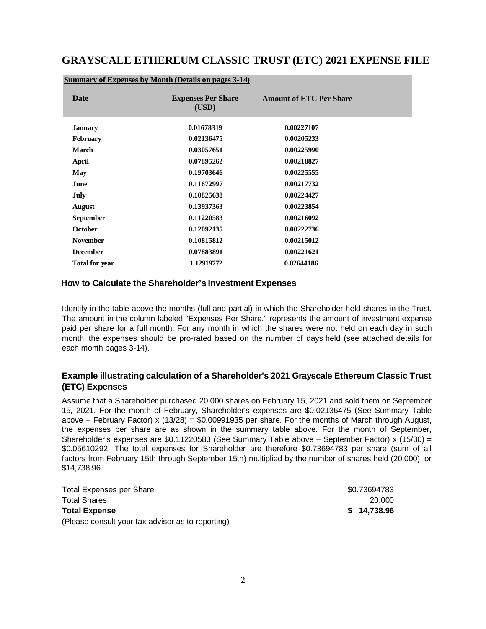# **GRAYSCALE ETHEREUM CLASSIC TRUST (ETC) 2021 EXPENSE FILE**

| Date                  | <b>Expenses Per Share</b><br>(USD) | <b>Amount of ETC Per Share</b> |
|-----------------------|------------------------------------|--------------------------------|
| <b>January</b>        | 0.01678319                         | 0.00227107                     |
| <b>February</b>       | 0.02136475                         | 0.00205233                     |
| March                 | 0.03057651                         | 0.00225990                     |
| April                 | 0.07895262                         | 0.00218827                     |
| May                   | 0.19703646                         | 0.00225555                     |
| <b>June</b>           | 0.11672997                         | 0.00217732                     |
| July                  | 0.10825638                         | 0.00224427                     |
| <b>August</b>         | 0.13937363                         | 0.00223854                     |
| <b>September</b>      | 0.11220583                         | 0.00216092                     |
| <b>October</b>        | 0.12092135                         | 0.00222736                     |
| <b>November</b>       | 0.10815812                         | 0.00215012                     |
| <b>December</b>       | 0.07883891                         | 0.00221621                     |
| <b>Total for year</b> | 1.12919772                         | 0.02644186                     |

#### **Summary of Expenses by Month (Details on pages 3-14)**

#### **How to Calculate the Shareholder's Investment Expenses**

Identify in the table above the months (full and partial) in which the Shareholder held shares in the Trust. The amount in the column labeled "Expenses Per Share," represents the amount of investment expense paid per share for a full month. For any month in which the shares were not held on each day in such month, the expenses should be pro-rated based on the number of days held (see attached details for each month pages 3-14).

### **Example illustrating calculation of a Shareholder's 2021 Grayscale Ethereum Classic Trust (ETC) Expenses**

Assume that a Shareholder purchased 20,000 shares on February 15, 2021 and sold them on September 15, 2021. For the month of February, Shareholder's expenses are \$0.02136475 (See Summary Table above – February Factor) x (13/28) = \$0.00991935 per share. For the months of March through August, the expenses per share are as shown in the summary table above. For the month of September, Shareholder's expenses are \$0.11220583 (See Summary Table above – September Factor) x (15/30) = \$0.05610292. The total expenses for Shareholder are therefore \$0.73694783 per share (sum of all factors from February 15th through September 15th) multiplied by the number of shares held (20,000), or \$14,738.96.

| <b>Total Expenses per Share</b>                   | \$0.73694783 |
|---------------------------------------------------|--------------|
| <b>Total Shares</b>                               | 20,000       |
| <b>Total Expense</b>                              | \$ 14,738.96 |
| (Please consult your tax advisor as to reporting) |              |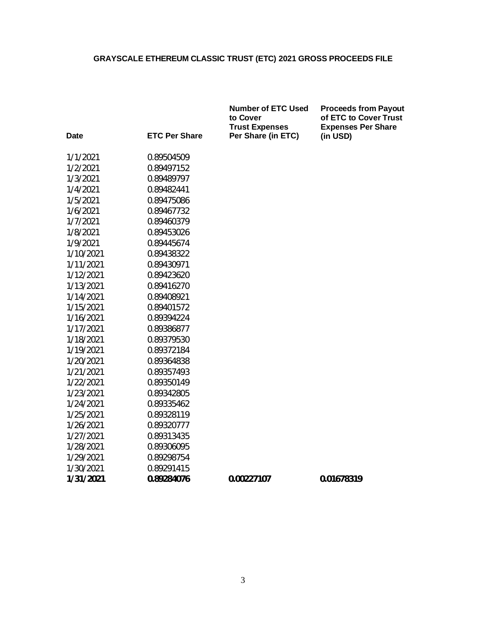**Number of ETC Used Proceeds from Payout**

| <b>Date</b> | <b>ETC Per Share</b> | to Cover<br><b>Trust Expenses</b><br>Per Share (in ETC) | of ETC to Cover Trust<br><b>Expenses Per Share</b><br>(in USD) |
|-------------|----------------------|---------------------------------------------------------|----------------------------------------------------------------|
|             |                      |                                                         |                                                                |
| 1/1/2021    | 0.89504509           |                                                         |                                                                |
| 1/2/2021    | 0.89497152           |                                                         |                                                                |
| 1/3/2021    | 0.89489797           |                                                         |                                                                |
| 1/4/2021    | 0.89482441           |                                                         |                                                                |
| 1/5/2021    | 0.89475086           |                                                         |                                                                |
| 1/6/2021    | 0.89467732           |                                                         |                                                                |
| 1/7/2021    | 0.89460379           |                                                         |                                                                |
| 1/8/2021    | 0.89453026           |                                                         |                                                                |
| 1/9/2021    | 0.89445674           |                                                         |                                                                |
| 1/10/2021   | 0.89438322           |                                                         |                                                                |
| 1/11/2021   | 0.89430971           |                                                         |                                                                |
| 1/12/2021   | 0.89423620           |                                                         |                                                                |
| 1/13/2021   | 0.89416270           |                                                         |                                                                |
| 1/14/2021   | 0.89408921           |                                                         |                                                                |
| 1/15/2021   | 0.89401572           |                                                         |                                                                |
| 1/16/2021   | 0.89394224           |                                                         |                                                                |
| 1/17/2021   | 0.89386877           |                                                         |                                                                |
| 1/18/2021   | 0.89379530           |                                                         |                                                                |
| 1/19/2021   | 0.89372184           |                                                         |                                                                |
| 1/20/2021   | 0.89364838           |                                                         |                                                                |
| 1/21/2021   | 0.89357493           |                                                         |                                                                |
| 1/22/2021   | 0.89350149           |                                                         |                                                                |
| 1/23/2021   | 0.89342805           |                                                         |                                                                |
| 1/24/2021   | 0.89335462           |                                                         |                                                                |
| 1/25/2021   | 0.89328119           |                                                         |                                                                |
| 1/26/2021   | 0.89320777           |                                                         |                                                                |
| 1/27/2021   | 0.89313435           |                                                         |                                                                |
| 1/28/2021   | 0.89306095           |                                                         |                                                                |
| 1/29/2021   | 0.89298754           |                                                         |                                                                |
| 1/30/2021   | 0.89291415           |                                                         |                                                                |
| 1/31/2021   | 0.89284076           | 0.00227107                                              | 0.01678319                                                     |
|             |                      |                                                         |                                                                |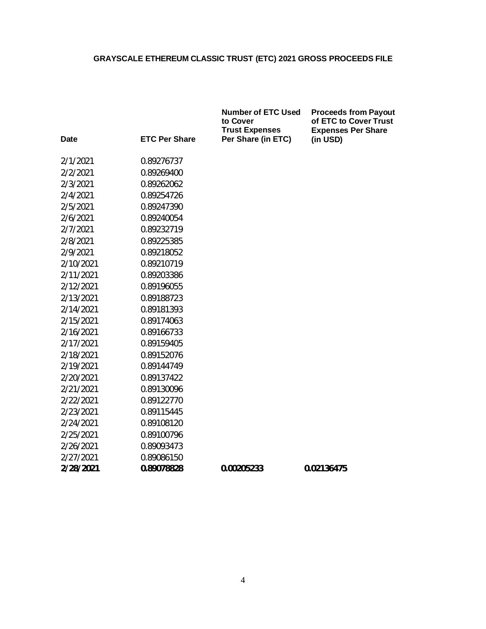| Date      | <b>ETC Per Share</b> | <b>Number of ETC Used</b><br>to Cover<br><b>Trust Expenses</b><br>Per Share (in ETC) | <b>Proceeds from Payout</b><br>of ETC to Cover Trust<br><b>Expenses Per Share</b> |
|-----------|----------------------|--------------------------------------------------------------------------------------|-----------------------------------------------------------------------------------|
|           |                      |                                                                                      | (in USD)                                                                          |
| 2/1/2021  | 0.89276737           |                                                                                      |                                                                                   |
| 2/2/2021  | 0.89269400           |                                                                                      |                                                                                   |
| 2/3/2021  | 0.89262062           |                                                                                      |                                                                                   |
| 2/4/2021  | 0.89254726           |                                                                                      |                                                                                   |
| 2/5/2021  | 0.89247390           |                                                                                      |                                                                                   |
| 2/6/2021  | 0.89240054           |                                                                                      |                                                                                   |
| 2/7/2021  | 0.89232719           |                                                                                      |                                                                                   |
| 2/8/2021  | 0.89225385           |                                                                                      |                                                                                   |
| 2/9/2021  | 0.89218052           |                                                                                      |                                                                                   |
| 2/10/2021 | 0.89210719           |                                                                                      |                                                                                   |
| 2/11/2021 | 0.89203386           |                                                                                      |                                                                                   |
| 2/12/2021 | 0.89196055           |                                                                                      |                                                                                   |
| 2/13/2021 | 0.89188723           |                                                                                      |                                                                                   |
| 2/14/2021 | 0.89181393           |                                                                                      |                                                                                   |
| 2/15/2021 | 0.89174063           |                                                                                      |                                                                                   |
| 2/16/2021 | 0.89166733           |                                                                                      |                                                                                   |
| 2/17/2021 | 0.89159405           |                                                                                      |                                                                                   |
| 2/18/2021 | 0.89152076           |                                                                                      |                                                                                   |
| 2/19/2021 | 0.89144749           |                                                                                      |                                                                                   |
| 2/20/2021 | 0.89137422           |                                                                                      |                                                                                   |
| 2/21/2021 | 0.89130096           |                                                                                      |                                                                                   |
| 2/22/2021 | 0.89122770           |                                                                                      |                                                                                   |
| 2/23/2021 | 0.89115445           |                                                                                      |                                                                                   |
| 2/24/2021 | 0.89108120           |                                                                                      |                                                                                   |
| 2/25/2021 | 0.89100796           |                                                                                      |                                                                                   |
| 2/26/2021 | 0.89093473           |                                                                                      |                                                                                   |
| 2/27/2021 | 0.89086150           |                                                                                      |                                                                                   |
| 2/28/2021 | 0.89078828           | 0.00205233                                                                           | 0.02136475                                                                        |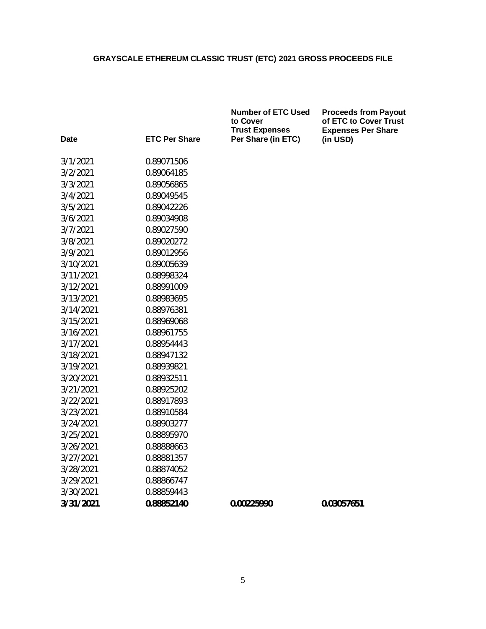|           |                      | <b>Number of ETC Used</b><br>to Cover<br><b>Trust Expenses</b> | <b>Proceeds from Payout</b><br>of ETC to Cover Trust<br><b>Expenses Per Share</b> |
|-----------|----------------------|----------------------------------------------------------------|-----------------------------------------------------------------------------------|
| Date      | <b>ETC Per Share</b> | Per Share (in ETC)                                             | (in USD)                                                                          |
| 3/1/2021  | 0.89071506           |                                                                |                                                                                   |
| 3/2/2021  | 0.89064185           |                                                                |                                                                                   |
| 3/3/2021  | 0.89056865           |                                                                |                                                                                   |
| 3/4/2021  | 0.89049545           |                                                                |                                                                                   |
| 3/5/2021  | 0.89042226           |                                                                |                                                                                   |
| 3/6/2021  | 0.89034908           |                                                                |                                                                                   |
| 3/7/2021  | 0.89027590           |                                                                |                                                                                   |
| 3/8/2021  | 0.89020272           |                                                                |                                                                                   |
| 3/9/2021  | 0.89012956           |                                                                |                                                                                   |
| 3/10/2021 | 0.89005639           |                                                                |                                                                                   |
| 3/11/2021 | 0.88998324           |                                                                |                                                                                   |
| 3/12/2021 | 0.88991009           |                                                                |                                                                                   |
| 3/13/2021 | 0.88983695           |                                                                |                                                                                   |
| 3/14/2021 | 0.88976381           |                                                                |                                                                                   |
| 3/15/2021 | 0.88969068           |                                                                |                                                                                   |
| 3/16/2021 | 0.88961755           |                                                                |                                                                                   |
| 3/17/2021 | 0.88954443           |                                                                |                                                                                   |
| 3/18/2021 | 0.88947132           |                                                                |                                                                                   |
| 3/19/2021 | 0.88939821           |                                                                |                                                                                   |
| 3/20/2021 | 0.88932511           |                                                                |                                                                                   |
| 3/21/2021 | 0.88925202           |                                                                |                                                                                   |
| 3/22/2021 | 0.88917893           |                                                                |                                                                                   |
| 3/23/2021 | 0.88910584           |                                                                |                                                                                   |
| 3/24/2021 | 0.88903277           |                                                                |                                                                                   |
| 3/25/2021 | 0.88895970           |                                                                |                                                                                   |
| 3/26/2021 | 0.88888663           |                                                                |                                                                                   |
| 3/27/2021 | 0.88881357           |                                                                |                                                                                   |
| 3/28/2021 | 0.88874052           |                                                                |                                                                                   |
| 3/29/2021 | 0.88866747           |                                                                |                                                                                   |
| 3/30/2021 | 0.88859443           |                                                                |                                                                                   |
| 3/31/2021 | 0.88852140           | 0.00225990                                                     | 0.03057651                                                                        |
|           |                      |                                                                |                                                                                   |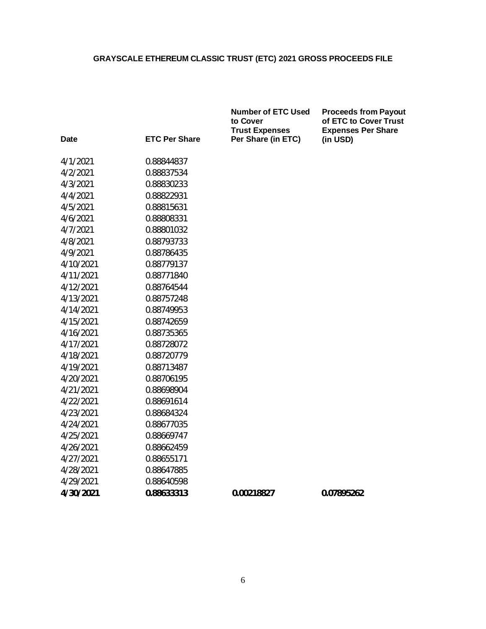|                              |                    | <b>Number of ETC Used</b><br>to Cover<br><b>Trust Expenses</b> | <b>Proceeds from Payout</b><br>of ETC to Cover Trust<br><b>Expenses Per Share</b> |
|------------------------------|--------------------|----------------------------------------------------------------|-----------------------------------------------------------------------------------|
| <b>ETC Per Share</b><br>Date | Per Share (in ETC) | (in USD)                                                       |                                                                                   |
| 4/1/2021                     | 0.88844837         |                                                                |                                                                                   |
| 4/2/2021                     | 0.88837534         |                                                                |                                                                                   |
| 4/3/2021                     | 0.88830233         |                                                                |                                                                                   |
| 4/4/2021                     | 0.88822931         |                                                                |                                                                                   |
| 4/5/2021                     | 0.88815631         |                                                                |                                                                                   |
| 4/6/2021                     | 0.88808331         |                                                                |                                                                                   |
| 4/7/2021                     | 0.88801032         |                                                                |                                                                                   |
| 4/8/2021                     | 0.88793733         |                                                                |                                                                                   |
| 4/9/2021                     | 0.88786435         |                                                                |                                                                                   |
| 4/10/2021                    | 0.88779137         |                                                                |                                                                                   |
| 4/11/2021                    | 0.88771840         |                                                                |                                                                                   |
| 4/12/2021                    | 0.88764544         |                                                                |                                                                                   |
| 4/13/2021                    | 0.88757248         |                                                                |                                                                                   |
| 4/14/2021                    | 0.88749953         |                                                                |                                                                                   |
| 4/15/2021                    | 0.88742659         |                                                                |                                                                                   |
| 4/16/2021                    | 0.88735365         |                                                                |                                                                                   |
| 4/17/2021                    | 0.88728072         |                                                                |                                                                                   |
| 4/18/2021                    | 0.88720779         |                                                                |                                                                                   |
| 4/19/2021                    | 0.88713487         |                                                                |                                                                                   |
| 4/20/2021                    | 0.88706195         |                                                                |                                                                                   |
| 4/21/2021                    | 0.88698904         |                                                                |                                                                                   |
| 4/22/2021                    | 0.88691614         |                                                                |                                                                                   |
| 4/23/2021                    | 0.88684324         |                                                                |                                                                                   |
| 4/24/2021                    | 0.88677035         |                                                                |                                                                                   |
| 4/25/2021                    | 0.88669747         |                                                                |                                                                                   |
| 4/26/2021                    | 0.88662459         |                                                                |                                                                                   |
| 4/27/2021                    | 0.88655171         |                                                                |                                                                                   |
| 4/28/2021                    | 0.88647885         |                                                                |                                                                                   |
| 4/29/2021                    | 0.88640598         |                                                                |                                                                                   |
| 4/30/2021                    | 0.88633313         | 0.00218827                                                     | 0.07895262                                                                        |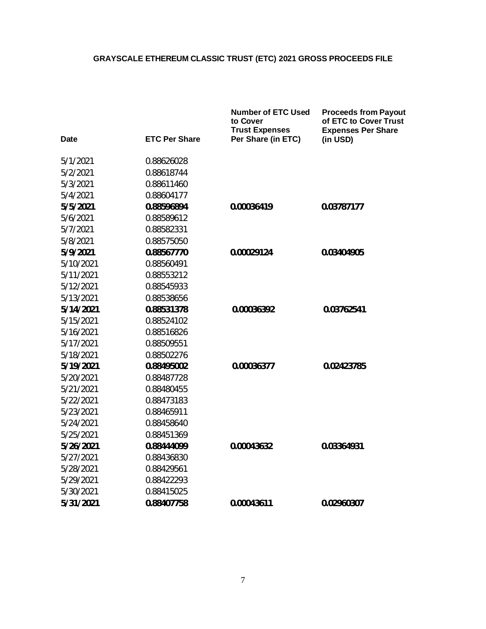|           |                      | <b>Number of ETC Used</b><br>to Cover<br><b>Trust Expenses</b> | <b>Proceeds from Payout</b><br>of ETC to Cover Trust<br><b>Expenses Per Share</b> |
|-----------|----------------------|----------------------------------------------------------------|-----------------------------------------------------------------------------------|
| Date      | <b>ETC Per Share</b> | Per Share (in ETC)                                             | (in USD)                                                                          |
| 5/1/2021  | 0.88626028           |                                                                |                                                                                   |
| 5/2/2021  | 0.88618744           |                                                                |                                                                                   |
| 5/3/2021  | 0.88611460           |                                                                |                                                                                   |
| 5/4/2021  | 0.88604177           |                                                                |                                                                                   |
| 5/5/2021  | 0.88596894           | 0.00036419                                                     | 0.03787177                                                                        |
| 5/6/2021  | 0.88589612           |                                                                |                                                                                   |
| 5/7/2021  | 0.88582331           |                                                                |                                                                                   |
| 5/8/2021  | 0.88575050           |                                                                |                                                                                   |
| 5/9/2021  | 0.88567770           | 0.00029124                                                     | 0.03404905                                                                        |
| 5/10/2021 | 0.88560491           |                                                                |                                                                                   |
| 5/11/2021 | 0.88553212           |                                                                |                                                                                   |
| 5/12/2021 | 0.88545933           |                                                                |                                                                                   |
| 5/13/2021 | 0.88538656           |                                                                |                                                                                   |
| 5/14/2021 | 0.88531378           | 0.00036392                                                     | 0.03762541                                                                        |
| 5/15/2021 | 0.88524102           |                                                                |                                                                                   |
| 5/16/2021 | 0.88516826           |                                                                |                                                                                   |
| 5/17/2021 | 0.88509551           |                                                                |                                                                                   |
| 5/18/2021 | 0.88502276           |                                                                |                                                                                   |
| 5/19/2021 | 0.88495002           | 0.00036377                                                     | 0.02423785                                                                        |
| 5/20/2021 | 0.88487728           |                                                                |                                                                                   |
| 5/21/2021 | 0.88480455           |                                                                |                                                                                   |
| 5/22/2021 | 0.88473183           |                                                                |                                                                                   |
| 5/23/2021 | 0.88465911           |                                                                |                                                                                   |
| 5/24/2021 | 0.88458640           |                                                                |                                                                                   |
| 5/25/2021 | 0.88451369           |                                                                |                                                                                   |
| 5/26/2021 | 0.88444099           | 0.00043632                                                     | 0.03364931                                                                        |
| 5/27/2021 | 0.88436830           |                                                                |                                                                                   |
| 5/28/2021 | 0.88429561           |                                                                |                                                                                   |
| 5/29/2021 | 0.88422293           |                                                                |                                                                                   |
| 5/30/2021 | 0.88415025           |                                                                |                                                                                   |
| 5/31/2021 | 0.88407758           | 0.00043611                                                     | 0.02960307                                                                        |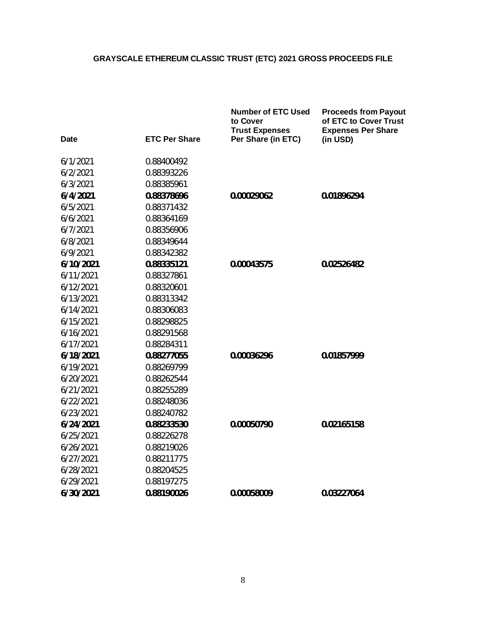|             |                      | <b>Number of ETC Used</b><br>to Cover<br><b>Trust Expenses</b> | <b>Proceeds from Payout</b><br>of ETC to Cover Trust<br><b>Expenses Per Share</b> |
|-------------|----------------------|----------------------------------------------------------------|-----------------------------------------------------------------------------------|
| <b>Date</b> | <b>ETC Per Share</b> | Per Share (in ETC)                                             | (in USD)                                                                          |
| 6/1/2021    | 0.88400492           |                                                                |                                                                                   |
| 6/2/2021    | 0.88393226           |                                                                |                                                                                   |
| 6/3/2021    | 0.88385961           |                                                                |                                                                                   |
| 6/4/2021    | 0.88378696           | 0.00029062                                                     | 0.01896294                                                                        |
| 6/5/2021    | 0.88371432           |                                                                |                                                                                   |
| 6/6/2021    | 0.88364169           |                                                                |                                                                                   |
| 6/7/2021    | 0.88356906           |                                                                |                                                                                   |
| 6/8/2021    | 0.88349644           |                                                                |                                                                                   |
| 6/9/2021    | 0.88342382           |                                                                |                                                                                   |
| 6/10/2021   | 0.88335121           | 0.00043575                                                     | 0.02526482                                                                        |
| 6/11/2021   | 0.88327861           |                                                                |                                                                                   |
| 6/12/2021   | 0.88320601           |                                                                |                                                                                   |
| 6/13/2021   | 0.88313342           |                                                                |                                                                                   |
| 6/14/2021   | 0.88306083           |                                                                |                                                                                   |
| 6/15/2021   | 0.88298825           |                                                                |                                                                                   |
| 6/16/2021   | 0.88291568           |                                                                |                                                                                   |
| 6/17/2021   | 0.88284311           |                                                                |                                                                                   |
| 6/18/2021   | 0.88277055           | 0.00036296                                                     | 0.01857999                                                                        |
| 6/19/2021   | 0.88269799           |                                                                |                                                                                   |
| 6/20/2021   | 0.88262544           |                                                                |                                                                                   |
| 6/21/2021   | 0.88255289           |                                                                |                                                                                   |
| 6/22/2021   | 0.88248036           |                                                                |                                                                                   |
| 6/23/2021   | 0.88240782           |                                                                |                                                                                   |
| 6/24/2021   | 0.88233530           | 0.00050790                                                     | 0.02165158                                                                        |
| 6/25/2021   | 0.88226278           |                                                                |                                                                                   |
| 6/26/2021   | 0.88219026           |                                                                |                                                                                   |
| 6/27/2021   | 0.88211775           |                                                                |                                                                                   |
| 6/28/2021   | 0.88204525           |                                                                |                                                                                   |
| 6/29/2021   | 0.88197275           |                                                                |                                                                                   |
| 6/30/2021   | 0.88190026           | 0.00058009                                                     | 0.03227064                                                                        |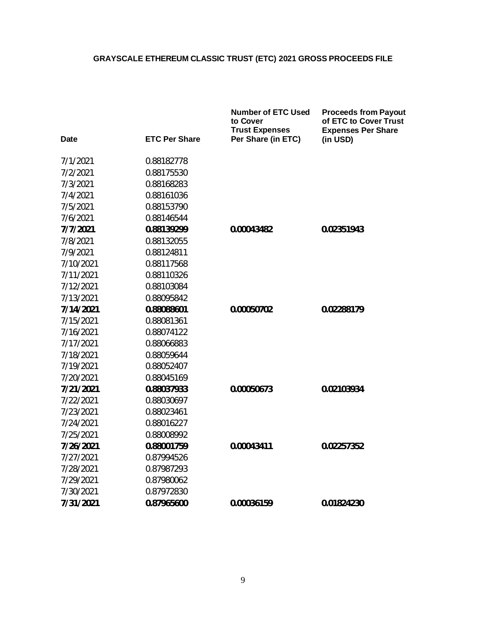|           |                      | <b>Number of ETC Used</b><br>to Cover<br><b>Trust Expenses</b> | <b>Proceeds from Payout</b><br>of ETC to Cover Trust<br><b>Expenses Per Share</b> |
|-----------|----------------------|----------------------------------------------------------------|-----------------------------------------------------------------------------------|
| Date      | <b>ETC Per Share</b> | Per Share (in ETC)                                             | (in USD)                                                                          |
| 7/1/2021  | 0.88182778           |                                                                |                                                                                   |
| 7/2/2021  | 0.88175530           |                                                                |                                                                                   |
| 7/3/2021  | 0.88168283           |                                                                |                                                                                   |
| 7/4/2021  | 0.88161036           |                                                                |                                                                                   |
| 7/5/2021  | 0.88153790           |                                                                |                                                                                   |
| 7/6/2021  | 0.88146544           |                                                                |                                                                                   |
| 7/7/2021  | 0.88139299           | 0.00043482                                                     | 0.02351943                                                                        |
| 7/8/2021  | 0.88132055           |                                                                |                                                                                   |
| 7/9/2021  | 0.88124811           |                                                                |                                                                                   |
| 7/10/2021 | 0.88117568           |                                                                |                                                                                   |
| 7/11/2021 | 0.88110326           |                                                                |                                                                                   |
| 7/12/2021 | 0.88103084           |                                                                |                                                                                   |
| 7/13/2021 | 0.88095842           |                                                                |                                                                                   |
| 7/14/2021 | 0.88088601           | 0.00050702                                                     | 0.02288179                                                                        |
| 7/15/2021 | 0.88081361           |                                                                |                                                                                   |
| 7/16/2021 | 0.88074122           |                                                                |                                                                                   |
| 7/17/2021 | 0.88066883           |                                                                |                                                                                   |
| 7/18/2021 | 0.88059644           |                                                                |                                                                                   |
| 7/19/2021 | 0.88052407           |                                                                |                                                                                   |
| 7/20/2021 | 0.88045169           |                                                                |                                                                                   |
| 7/21/2021 | 0.88037933           | 0.00050673                                                     | 0.02103934                                                                        |
| 7/22/2021 | 0.88030697           |                                                                |                                                                                   |
| 7/23/2021 | 0.88023461           |                                                                |                                                                                   |
| 7/24/2021 | 0.88016227           |                                                                |                                                                                   |
| 7/25/2021 | 0.88008992           |                                                                |                                                                                   |
| 7/26/2021 | 0.88001759           | 0.00043411                                                     | 0.02257352                                                                        |
| 7/27/2021 | 0.87994526           |                                                                |                                                                                   |
| 7/28/2021 | 0.87987293           |                                                                |                                                                                   |
| 7/29/2021 | 0.87980062           |                                                                |                                                                                   |
| 7/30/2021 | 0.87972830           |                                                                |                                                                                   |
| 7/31/2021 | 0.87965600           | 0.00036159                                                     | 0.01824230                                                                        |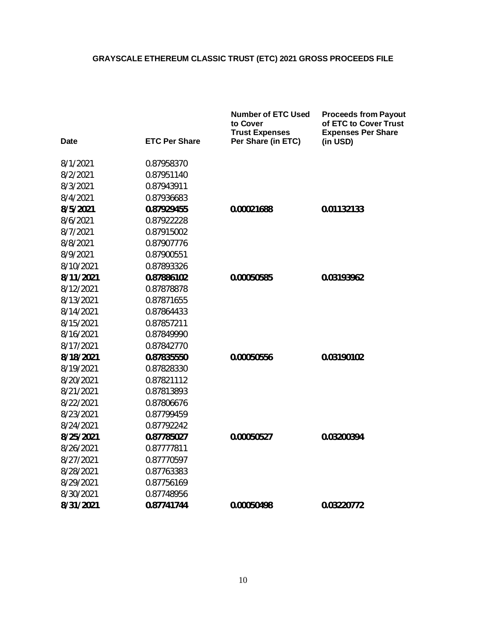|           |                      | <b>Number of ETC Used</b><br>to Cover<br><b>Trust Expenses</b> | <b>Proceeds from Payout</b><br>of ETC to Cover Trust<br><b>Expenses Per Share</b> |
|-----------|----------------------|----------------------------------------------------------------|-----------------------------------------------------------------------------------|
| Date      | <b>ETC Per Share</b> | Per Share (in ETC)                                             | (in USD)                                                                          |
| 8/1/2021  | 0.87958370           |                                                                |                                                                                   |
| 8/2/2021  | 0.87951140           |                                                                |                                                                                   |
| 8/3/2021  | 0.87943911           |                                                                |                                                                                   |
| 8/4/2021  | 0.87936683           |                                                                |                                                                                   |
| 8/5/2021  | 0.87929455           | 0.00021688                                                     | 0.01132133                                                                        |
| 8/6/2021  | 0.87922228           |                                                                |                                                                                   |
| 8/7/2021  | 0.87915002           |                                                                |                                                                                   |
| 8/8/2021  | 0.87907776           |                                                                |                                                                                   |
| 8/9/2021  | 0.87900551           |                                                                |                                                                                   |
| 8/10/2021 | 0.87893326           |                                                                |                                                                                   |
| 8/11/2021 | 0.87886102           | 0.00050585                                                     | 0.03193962                                                                        |
| 8/12/2021 | 0.87878878           |                                                                |                                                                                   |
| 8/13/2021 | 0.87871655           |                                                                |                                                                                   |
| 8/14/2021 | 0.87864433           |                                                                |                                                                                   |
| 8/15/2021 | 0.87857211           |                                                                |                                                                                   |
| 8/16/2021 | 0.87849990           |                                                                |                                                                                   |
| 8/17/2021 | 0.87842770           |                                                                |                                                                                   |
| 8/18/2021 | 0.87835550           | 0.00050556                                                     | 0.03190102                                                                        |
| 8/19/2021 | 0.87828330           |                                                                |                                                                                   |
| 8/20/2021 | 0.87821112           |                                                                |                                                                                   |
| 8/21/2021 | 0.87813893           |                                                                |                                                                                   |
| 8/22/2021 | 0.87806676           |                                                                |                                                                                   |
| 8/23/2021 | 0.87799459           |                                                                |                                                                                   |
| 8/24/2021 | 0.87792242           |                                                                |                                                                                   |
| 8/25/2021 | 0.87785027           | 0.00050527                                                     | 0.03200394                                                                        |
| 8/26/2021 | 0.87777811           |                                                                |                                                                                   |
| 8/27/2021 | 0.87770597           |                                                                |                                                                                   |
| 8/28/2021 | 0.87763383           |                                                                |                                                                                   |
| 8/29/2021 | 0.87756169           |                                                                |                                                                                   |
| 8/30/2021 | 0.87748956           |                                                                |                                                                                   |
| 8/31/2021 | 0.87741744           | 0.00050498                                                     | 0.03220772                                                                        |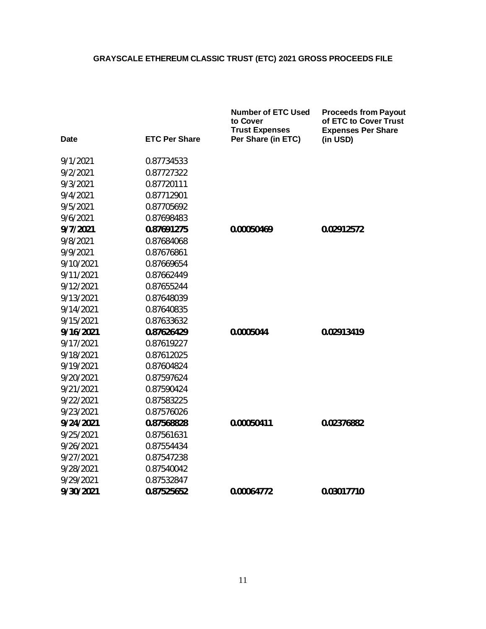|           |                      | <b>Number of ETC Used</b><br>to Cover<br><b>Trust Expenses</b> | <b>Proceeds from Payout</b><br>of ETC to Cover Trust<br><b>Expenses Per Share</b> |
|-----------|----------------------|----------------------------------------------------------------|-----------------------------------------------------------------------------------|
| Date      | <b>ETC Per Share</b> | Per Share (in ETC)                                             | (in USD)                                                                          |
| 9/1/2021  | 0.87734533           |                                                                |                                                                                   |
| 9/2/2021  | 0.87727322           |                                                                |                                                                                   |
| 9/3/2021  | 0.87720111           |                                                                |                                                                                   |
| 9/4/2021  | 0.87712901           |                                                                |                                                                                   |
| 9/5/2021  | 0.87705692           |                                                                |                                                                                   |
| 9/6/2021  | 0.87698483           |                                                                |                                                                                   |
| 9/7/2021  | 0.87691275           | 0.00050469                                                     | 0.02912572                                                                        |
| 9/8/2021  | 0.87684068           |                                                                |                                                                                   |
| 9/9/2021  | 0.87676861           |                                                                |                                                                                   |
| 9/10/2021 | 0.87669654           |                                                                |                                                                                   |
| 9/11/2021 | 0.87662449           |                                                                |                                                                                   |
| 9/12/2021 | 0.87655244           |                                                                |                                                                                   |
| 9/13/2021 | 0.87648039           |                                                                |                                                                                   |
| 9/14/2021 | 0.87640835           |                                                                |                                                                                   |
| 9/15/2021 | 0.87633632           |                                                                |                                                                                   |
| 9/16/2021 | 0.87626429           | 0.0005044                                                      | 0.02913419                                                                        |
| 9/17/2021 | 0.87619227           |                                                                |                                                                                   |
| 9/18/2021 | 0.87612025           |                                                                |                                                                                   |
| 9/19/2021 | 0.87604824           |                                                                |                                                                                   |
| 9/20/2021 | 0.87597624           |                                                                |                                                                                   |
| 9/21/2021 | 0.87590424           |                                                                |                                                                                   |
| 9/22/2021 | 0.87583225           |                                                                |                                                                                   |
| 9/23/2021 | 0.87576026           |                                                                |                                                                                   |
| 9/24/2021 | 0.87568828           | 0.00050411                                                     | 0.02376882                                                                        |
| 9/25/2021 | 0.87561631           |                                                                |                                                                                   |
| 9/26/2021 | 0.87554434           |                                                                |                                                                                   |
| 9/27/2021 | 0.87547238           |                                                                |                                                                                   |
| 9/28/2021 | 0.87540042           |                                                                |                                                                                   |
| 9/29/2021 | 0.87532847           |                                                                |                                                                                   |
| 9/30/2021 | 0.87525652           | 0.00064772                                                     | 0.03017710                                                                        |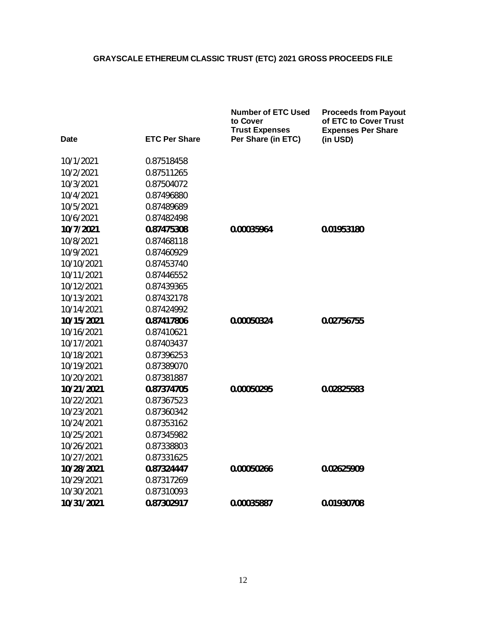|            |                      | <b>Number of ETC Used</b><br>to Cover<br><b>Trust Expenses</b> | <b>Proceeds from Payout</b><br>of ETC to Cover Trust<br><b>Expenses Per Share</b> |
|------------|----------------------|----------------------------------------------------------------|-----------------------------------------------------------------------------------|
| Date       | <b>ETC Per Share</b> | Per Share (in ETC)                                             | (in USD)                                                                          |
| 10/1/2021  | 0.87518458           |                                                                |                                                                                   |
| 10/2/2021  | 0.87511265           |                                                                |                                                                                   |
| 10/3/2021  | 0.87504072           |                                                                |                                                                                   |
| 10/4/2021  | 0.87496880           |                                                                |                                                                                   |
| 10/5/2021  | 0.87489689           |                                                                |                                                                                   |
| 10/6/2021  | 0.87482498           |                                                                |                                                                                   |
| 10/7/2021  | 0.87475308           | 0.00035964                                                     | 0.01953180                                                                        |
| 10/8/2021  | 0.87468118           |                                                                |                                                                                   |
| 10/9/2021  | 0.87460929           |                                                                |                                                                                   |
| 10/10/2021 | 0.87453740           |                                                                |                                                                                   |
| 10/11/2021 | 0.87446552           |                                                                |                                                                                   |
| 10/12/2021 | 0.87439365           |                                                                |                                                                                   |
| 10/13/2021 | 0.87432178           |                                                                |                                                                                   |
| 10/14/2021 | 0.87424992           |                                                                |                                                                                   |
| 10/15/2021 | 0.87417806           | 0.00050324                                                     | 0.02756755                                                                        |
| 10/16/2021 | 0.87410621           |                                                                |                                                                                   |
| 10/17/2021 | 0.87403437           |                                                                |                                                                                   |
| 10/18/2021 | 0.87396253           |                                                                |                                                                                   |
| 10/19/2021 | 0.87389070           |                                                                |                                                                                   |
| 10/20/2021 | 0.87381887           |                                                                |                                                                                   |
| 10/21/2021 | 0.87374705           | 0.00050295                                                     | 0.02825583                                                                        |
| 10/22/2021 | 0.87367523           |                                                                |                                                                                   |
| 10/23/2021 | 0.87360342           |                                                                |                                                                                   |
| 10/24/2021 | 0.87353162           |                                                                |                                                                                   |
| 10/25/2021 | 0.87345982           |                                                                |                                                                                   |
| 10/26/2021 | 0.87338803           |                                                                |                                                                                   |
| 10/27/2021 | 0.87331625           |                                                                |                                                                                   |
| 10/28/2021 | 0.87324447           | 0.00050266                                                     | 0.02625909                                                                        |
| 10/29/2021 | 0.87317269           |                                                                |                                                                                   |
| 10/30/2021 | 0.87310093           |                                                                |                                                                                   |
| 10/31/2021 | 0.87302917           | 0.00035887                                                     | 0.01930708                                                                        |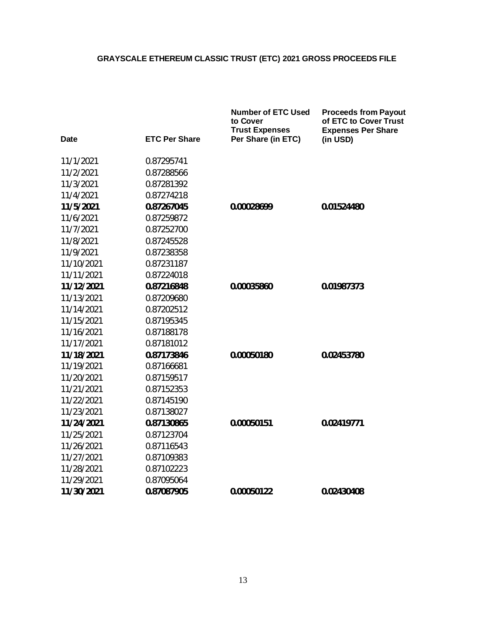|            |                      | <b>Number of ETC Used</b><br>to Cover<br><b>Trust Expenses</b> | <b>Proceeds from Payout</b><br>of ETC to Cover Trust<br><b>Expenses Per Share</b> |
|------------|----------------------|----------------------------------------------------------------|-----------------------------------------------------------------------------------|
| Date       | <b>ETC Per Share</b> | Per Share (in ETC)                                             | (in USD)                                                                          |
| 11/1/2021  | 0.87295741           |                                                                |                                                                                   |
| 11/2/2021  | 0.87288566           |                                                                |                                                                                   |
| 11/3/2021  | 0.87281392           |                                                                |                                                                                   |
| 11/4/2021  | 0.87274218           |                                                                |                                                                                   |
| 11/5/2021  | 0.87267045           | 0.00028699                                                     | 0.01524480                                                                        |
| 11/6/2021  | 0.87259872           |                                                                |                                                                                   |
| 11/7/2021  | 0.87252700           |                                                                |                                                                                   |
| 11/8/2021  | 0.87245528           |                                                                |                                                                                   |
| 11/9/2021  | 0.87238358           |                                                                |                                                                                   |
| 11/10/2021 | 0.87231187           |                                                                |                                                                                   |
| 11/11/2021 | 0.87224018           |                                                                |                                                                                   |
| 11/12/2021 | 0.87216848           | 0.00035860                                                     | 0.01987373                                                                        |
| 11/13/2021 | 0.87209680           |                                                                |                                                                                   |
| 11/14/2021 | 0.87202512           |                                                                |                                                                                   |
| 11/15/2021 | 0.87195345           |                                                                |                                                                                   |
| 11/16/2021 | 0.87188178           |                                                                |                                                                                   |
| 11/17/2021 | 0.87181012           |                                                                |                                                                                   |
| 11/18/2021 | 0.87173846           | 0.00050180                                                     | 0.02453780                                                                        |
| 11/19/2021 | 0.87166681           |                                                                |                                                                                   |
| 11/20/2021 | 0.87159517           |                                                                |                                                                                   |
| 11/21/2021 | 0.87152353           |                                                                |                                                                                   |
| 11/22/2021 | 0.87145190           |                                                                |                                                                                   |
| 11/23/2021 | 0.87138027           |                                                                |                                                                                   |
| 11/24/2021 | 0.87130865           | 0.00050151                                                     | 0.02419771                                                                        |
| 11/25/2021 | 0.87123704           |                                                                |                                                                                   |
| 11/26/2021 | 0.87116543           |                                                                |                                                                                   |
| 11/27/2021 | 0.87109383           |                                                                |                                                                                   |
| 11/28/2021 | 0.87102223           |                                                                |                                                                                   |
| 11/29/2021 | 0.87095064           |                                                                |                                                                                   |
| 11/30/2021 | 0.87087905           | 0.00050122                                                     | 0.02430408                                                                        |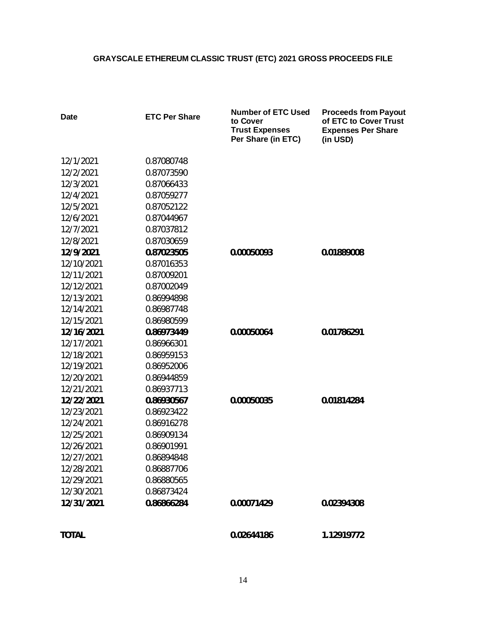| <b>Date</b>  | <b>ETC Per Share</b> | <b>Number of ETC Used</b><br>to Cover<br><b>Trust Expenses</b><br>Per Share (in ETC) | <b>Proceeds from Payout</b><br>of ETC to Cover Trust<br><b>Expenses Per Share</b><br>(in USD) |
|--------------|----------------------|--------------------------------------------------------------------------------------|-----------------------------------------------------------------------------------------------|
| 12/1/2021    | 0.87080748           |                                                                                      |                                                                                               |
| 12/2/2021    | 0.87073590           |                                                                                      |                                                                                               |
| 12/3/2021    | 0.87066433           |                                                                                      |                                                                                               |
| 12/4/2021    | 0.87059277           |                                                                                      |                                                                                               |
| 12/5/2021    | 0.87052122           |                                                                                      |                                                                                               |
| 12/6/2021    | 0.87044967           |                                                                                      |                                                                                               |
| 12/7/2021    | 0.87037812           |                                                                                      |                                                                                               |
| 12/8/2021    | 0.87030659           |                                                                                      |                                                                                               |
| 12/9/2021    | 0.87023505           | 0.00050093                                                                           | 0.01889008                                                                                    |
| 12/10/2021   | 0.87016353           |                                                                                      |                                                                                               |
| 12/11/2021   | 0.87009201           |                                                                                      |                                                                                               |
| 12/12/2021   | 0.87002049           |                                                                                      |                                                                                               |
| 12/13/2021   | 0.86994898           |                                                                                      |                                                                                               |
| 12/14/2021   | 0.86987748           |                                                                                      |                                                                                               |
| 12/15/2021   | 0.86980599           |                                                                                      |                                                                                               |
| 12/16/2021   | 0.86973449           | 0.00050064                                                                           | 0.01786291                                                                                    |
| 12/17/2021   | 0.86966301           |                                                                                      |                                                                                               |
| 12/18/2021   | 0.86959153           |                                                                                      |                                                                                               |
| 12/19/2021   | 0.86952006           |                                                                                      |                                                                                               |
| 12/20/2021   | 0.86944859           |                                                                                      |                                                                                               |
| 12/21/2021   | 0.86937713           |                                                                                      |                                                                                               |
| 12/22/2021   | 0.86930567           | 0.00050035                                                                           | 0.01814284                                                                                    |
| 12/23/2021   | 0.86923422           |                                                                                      |                                                                                               |
| 12/24/2021   | 0.86916278           |                                                                                      |                                                                                               |
| 12/25/2021   | 0.86909134           |                                                                                      |                                                                                               |
| 12/26/2021   | 0.86901991           |                                                                                      |                                                                                               |
| 12/27/2021   | 0.86894848           |                                                                                      |                                                                                               |
| 12/28/2021   | 0.86887706           |                                                                                      |                                                                                               |
| 12/29/2021   | 0.86880565           |                                                                                      |                                                                                               |
| 12/30/2021   | 0.86873424           |                                                                                      |                                                                                               |
| 12/31/2021   | 0.86866284           | 0.00071429                                                                           | 0.02394308                                                                                    |
| <b>TOTAL</b> |                      | 0.02644186                                                                           | 1.12919772                                                                                    |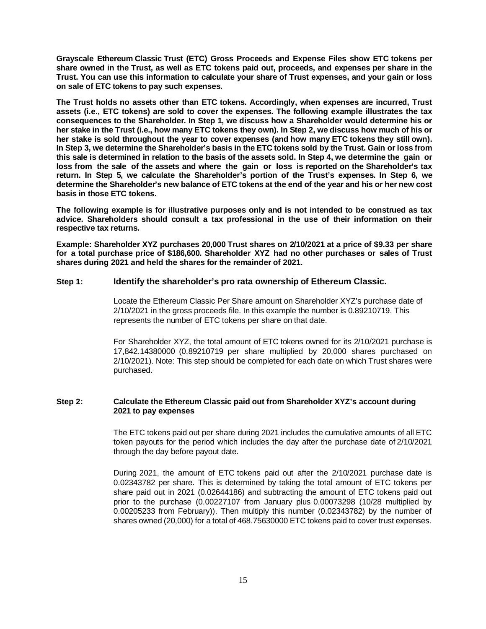**Grayscale Ethereum Classic Trust (ETC) Gross Proceeds and Expense Files show ETC tokens per share owned in the Trust, as well as ETC tokens paid out, proceeds, and expenses per share in the Trust. You can use this information to calculate your share of Trust expenses, and your gain or loss on sale of ETC tokens to pay such expenses.**

**The Trust holds no assets other than ETC tokens. Accordingly, when expenses are incurred, Trust assets (i.e., ETC tokens) are sold to cover the expenses. The following example illustrates the tax consequences to the Shareholder. In Step 1, we discuss how a Shareholder would determine his or her stake in the Trust (i.e., how many ETC tokens they own). In Step 2, we discuss how much of his or her stake is sold throughout the year to cover expenses (and how many ETC tokens they still own). In Step 3, we determine the Shareholder's basis in the ETC tokens sold by the Trust. Gain or loss from this sale is determined in relation to the basis of the assets sold. In Step 4, we determine the gain or loss from the sale of the assets and where the gain or loss is reported on the Shareholder's tax return. In Step 5, we calculate the Shareholder's portion of the Trust's expenses. In Step 6, we determine the Shareholder's new balance of ETC tokens at the end of the year and his or her new cost basis in those ETC tokens.**

**The following example is for illustrative purposes only and is not intended to be construed as tax advice. Shareholders should consult a tax professional in the use of their information on their respective tax returns.**

**Example: Shareholder XYZ purchases 20,000 Trust shares on 2/10/2021 at a price of \$9.33 per share for a total purchase price of \$186,600. Shareholder XYZ had no other purchases or sales of Trust shares during 2021 and held the shares for the remainder of 2021.**

#### **Step 1: Identify the shareholder's pro rata ownership of Ethereum Classic.**

Locate the Ethereum Classic Per Share amount on Shareholder XYZ's purchase date of 2/10/2021 in the gross proceeds file. In this example the number is 0.89210719. This represents the number of ETC tokens per share on that date.

For Shareholder XYZ, the total amount of ETC tokens owned for its 2/10/2021 purchase is 17,842.14380000 (0.89210719 per share multiplied by 20,000 shares purchased on 2/10/2021). Note: This step should be completed for each date on which Trust shares were purchased.

#### **Step 2: Calculate the Ethereum Classic paid out from Shareholder XYZ's account during 2021 to pay expenses**

The ETC tokens paid out per share during 2021 includes the cumulative amounts of all ETC token payouts for the period which includes the day after the purchase date of 2/10/2021 through the day before payout date.

During 2021, the amount of ETC tokens paid out after the 2/10/2021 purchase date is 0.02343782 per share. This is determined by taking the total amount of ETC tokens per share paid out in 2021 (0.02644186) and subtracting the amount of ETC tokens paid out prior to the purchase (0.00227107 from January plus 0.00073298 (10/28 multiplied by 0.00205233 from February)). Then multiply this number (0.02343782) by the number of shares owned (20,000) for a total of 468.75630000 ETC tokens paid to cover trust expenses.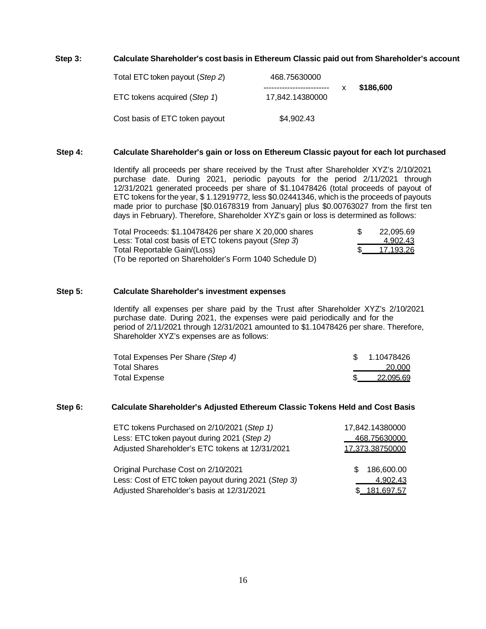#### **Step 3: Calculate Shareholder's cost basis in Ethereum Classic paid out from Shareholder's account**

| Total ETC token payout (Step 2) | 468.75630000                                  |           |
|---------------------------------|-----------------------------------------------|-----------|
| ETC tokens acquired (Step 1)    | --------------------------<br>17.842.14380000 | \$186,600 |
| Cost basis of ETC token payout  | \$4,902.43                                    |           |

#### **Step 4: Calculate Shareholder's gain or loss on Ethereum Classic payout for each lot purchased**

Identify all proceeds per share received by the Trust after Shareholder XYZ's 2/10/2021 purchase date. During 2021, periodic payouts for the period 2/11/2021 through 12/31/2021 generated proceeds per share of \$1.10478426 (total proceeds of payout of ETC tokens for the year, \$ 1.12919772, less \$0.02441346, which is the proceeds of payouts made prior to purchase [\$0.01678319 from January] plus \$0.00763027 from the first ten days in February). Therefore, Shareholder XYZ's gain or loss is determined as follows:

| Total Proceeds: \$1.10478426 per share X 20,000 shares | 22.095.69 |
|--------------------------------------------------------|-----------|
| Less: Total cost basis of ETC tokens payout (Step 3)   | 4.902.43  |
| Total Reportable Gain/(Loss)                           | 17.193.26 |
| (To be reported on Shareholder's Form 1040 Schedule D) |           |

#### **Step 5: Calculate Shareholder's investment expenses**

Identify all expenses per share paid by the Trust after Shareholder XYZ's 2/10/2021 purchase date. During 2021, the expenses were paid periodically and for the period of 2/11/2021 through 12/31/2021 amounted to \$1.10478426 per share. Therefore, Shareholder XYZ's expenses are as follows:

| Total Expenses Per Share (Step 4) | \$ 1.10478426 |
|-----------------------------------|---------------|
| <b>Total Shares</b>               | 20.000        |
| <b>Total Expense</b>              | 22.095.69     |

#### **Step 6: Calculate Shareholder's Adjusted Ethereum Classic Tokens Held and Cost Basis**

| ETC tokens Purchased on 2/10/2021 (Step 1)          | 17,842.14380000 |
|-----------------------------------------------------|-----------------|
| Less: ETC token payout during 2021 (Step 2)         | 468.75630000    |
| Adjusted Shareholder's ETC tokens at 12/31/2021     | 17,373.38750000 |
|                                                     |                 |
| Original Purchase Cost on 2/10/2021                 | 186,600.00      |
| Less: Cost of ETC token payout during 2021 (Step 3) | 4,902.43        |
| Adjusted Shareholder's basis at 12/31/2021          | \$ 181,697.57   |